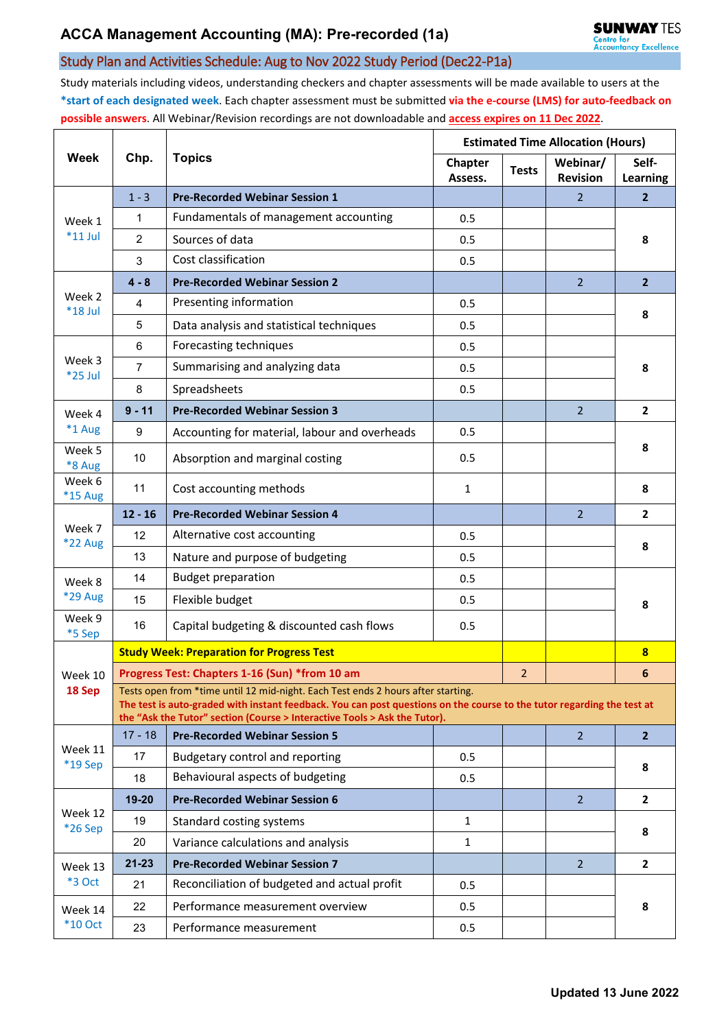## Study Plan and Activities Schedule: Aug to Nov 2022 Study Period (Dec22-P1a)

Study materials including videos, understanding checkers and chapter assessments will be made available to users at the **\*start of each designated week**. Each chapter assessment must be submitted **via the e-course (LMS) for auto-feedback on possible answers**. All Webinar/Revision recordings are not downloadable and **access expires on 11 Dec 2022**.

| Week                      | Chp.                                                                                                                                                                                                                                                                                    | <b>Topics</b>                                    | <b>Estimated Time Allocation (Hours)</b> |              |                             |                         |  |  |  |  |
|---------------------------|-----------------------------------------------------------------------------------------------------------------------------------------------------------------------------------------------------------------------------------------------------------------------------------------|--------------------------------------------------|------------------------------------------|--------------|-----------------------------|-------------------------|--|--|--|--|
|                           |                                                                                                                                                                                                                                                                                         |                                                  | <b>Chapter</b><br>Assess.                | <b>Tests</b> | Webinar/<br><b>Revision</b> | Self-<br>Learning       |  |  |  |  |
| Week 1<br>$*11$ Jul       | $1 - 3$                                                                                                                                                                                                                                                                                 | <b>Pre-Recorded Webinar Session 1</b>            |                                          |              | 2                           | $\overline{2}$          |  |  |  |  |
|                           | 1                                                                                                                                                                                                                                                                                       | Fundamentals of management accounting            | 0.5                                      |              |                             | 8                       |  |  |  |  |
|                           | $\overline{2}$                                                                                                                                                                                                                                                                          | Sources of data                                  | 0.5                                      |              |                             |                         |  |  |  |  |
|                           | 3                                                                                                                                                                                                                                                                                       | Cost classification                              | 0.5                                      |              |                             |                         |  |  |  |  |
| Week 2<br>*18 Jul         | $4 - 8$                                                                                                                                                                                                                                                                                 | <b>Pre-Recorded Webinar Session 2</b>            |                                          |              | $\overline{2}$              | $\overline{2}$          |  |  |  |  |
|                           | 4                                                                                                                                                                                                                                                                                       | Presenting information                           | 0.5                                      |              |                             | 8                       |  |  |  |  |
|                           | 5                                                                                                                                                                                                                                                                                       | Data analysis and statistical techniques         | 0.5                                      |              |                             |                         |  |  |  |  |
| Week 3<br>*25 Jul         | 6                                                                                                                                                                                                                                                                                       | Forecasting techniques                           | 0.5                                      |              |                             | 8                       |  |  |  |  |
|                           | $\overline{7}$                                                                                                                                                                                                                                                                          | Summarising and analyzing data                   | 0.5                                      |              |                             |                         |  |  |  |  |
|                           | 8                                                                                                                                                                                                                                                                                       | Spreadsheets                                     | 0.5                                      |              |                             |                         |  |  |  |  |
| Week 4                    | $9 - 11$                                                                                                                                                                                                                                                                                | <b>Pre-Recorded Webinar Session 3</b>            |                                          |              | 2 <sup>1</sup>              | $\mathbf{2}$            |  |  |  |  |
| *1 Aug                    | 9                                                                                                                                                                                                                                                                                       | Accounting for material, labour and overheads    | 0.5                                      |              |                             |                         |  |  |  |  |
| Week 5<br>*8 Aug          | 10                                                                                                                                                                                                                                                                                      | Absorption and marginal costing                  | 0.5                                      |              |                             | 8                       |  |  |  |  |
| Week 6<br><b>*15 Aug</b>  | 11                                                                                                                                                                                                                                                                                      | Cost accounting methods                          | $\mathbf{1}$                             |              |                             | 8                       |  |  |  |  |
|                           | $12 - 16$                                                                                                                                                                                                                                                                               | <b>Pre-Recorded Webinar Session 4</b>            |                                          |              | $\overline{2}$              | $\overline{2}$          |  |  |  |  |
| Week 7<br>*22 Aug         | 12                                                                                                                                                                                                                                                                                      | Alternative cost accounting                      | 0.5                                      |              |                             | 8                       |  |  |  |  |
|                           | 13                                                                                                                                                                                                                                                                                      | Nature and purpose of budgeting                  | 0.5                                      |              |                             |                         |  |  |  |  |
| Week 8                    | 14                                                                                                                                                                                                                                                                                      | <b>Budget preparation</b>                        | 0.5                                      |              |                             | 8                       |  |  |  |  |
| <b>*29 Aug</b>            | 15                                                                                                                                                                                                                                                                                      | Flexible budget                                  | 0.5                                      |              |                             |                         |  |  |  |  |
| Week 9<br>*5 Sep          | 16                                                                                                                                                                                                                                                                                      | Capital budgeting & discounted cash flows        | 0.5                                      |              |                             |                         |  |  |  |  |
|                           |                                                                                                                                                                                                                                                                                         | <b>Study Week: Preparation for Progress Test</b> |                                          |              |                             | $\overline{\mathbf{8}}$ |  |  |  |  |
| Week 10                   | Progress Test: Chapters 1-16 (Sun) *from 10 am                                                                                                                                                                                                                                          |                                                  |                                          |              |                             | 6                       |  |  |  |  |
| 18 Sep                    | Tests open from *time until 12 mid-night. Each Test ends 2 hours after starting.<br>The test is auto-graded with instant feedback. You can post questions on the course to the tutor regarding the test at<br>the "Ask the Tutor" section (Course > Interactive Tools > Ask the Tutor). |                                                  |                                          |              |                             |                         |  |  |  |  |
| Week 11<br>*19 Sep        | $17 - 18$                                                                                                                                                                                                                                                                               | <b>Pre-Recorded Webinar Session 5</b>            |                                          |              | $\overline{2}$              | 2 <sup>2</sup>          |  |  |  |  |
|                           | 17                                                                                                                                                                                                                                                                                      | Budgetary control and reporting                  | 0.5                                      |              |                             | 8                       |  |  |  |  |
|                           | 18                                                                                                                                                                                                                                                                                      | Behavioural aspects of budgeting                 | 0.5                                      |              |                             |                         |  |  |  |  |
|                           | $19 - 20$                                                                                                                                                                                                                                                                               | <b>Pre-Recorded Webinar Session 6</b>            |                                          |              | 2 <sup>1</sup>              | $\mathbf{2}$            |  |  |  |  |
| Week 12<br>*26 Sep        | 19                                                                                                                                                                                                                                                                                      | Standard costing systems                         | $\mathbf{1}$                             |              |                             | 8                       |  |  |  |  |
|                           | 20                                                                                                                                                                                                                                                                                      | Variance calculations and analysis               | 1                                        |              |                             |                         |  |  |  |  |
| Week 13<br>*3 Oct         | $21 - 23$                                                                                                                                                                                                                                                                               | <b>Pre-Recorded Webinar Session 7</b>            |                                          |              | $\overline{2}$              | $\overline{2}$          |  |  |  |  |
|                           | 21                                                                                                                                                                                                                                                                                      | Reconciliation of budgeted and actual profit     | 0.5                                      |              |                             | 8                       |  |  |  |  |
| Week 14<br><b>*10 Oct</b> | 22                                                                                                                                                                                                                                                                                      | Performance measurement overview                 | 0.5                                      |              |                             |                         |  |  |  |  |
|                           | 23                                                                                                                                                                                                                                                                                      | Performance measurement                          | 0.5                                      |              |                             |                         |  |  |  |  |